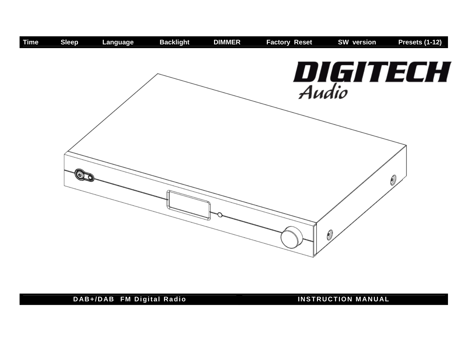

### **D AB+/D AB FM Digital Radio**

### **INSTRUCTION MANUAL**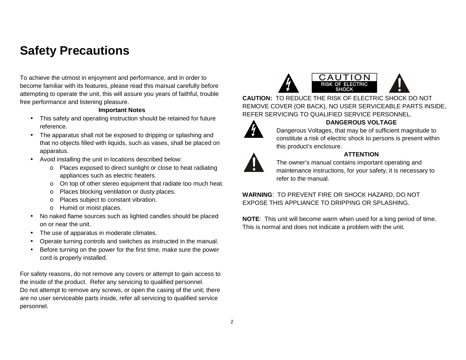## **Safety Precautions**

To achieve the utmost in enjoyment and performance, and in order to become familiar with its features, please read this manual carefully before attempting to operate the unit, this will assure you years of faithful, trouble free performance and listening pleasure.

#### **Important Notes**

- This safety and operating instruction should be retained for future reference.
- The apparatus shall not be exposed to dripping or splashing and that no objects filled with liquids, such as vases, shall be placed on apparatus.
- Avoid installing the unit in locations described below:
	- o Places exposed to direct sunlight or close to heat radiating appliances such as electric heaters.
	- o On top of other stereo equipment that radiate too much heat.
	- o Places blocking ventilation or dusty places.
	- o Places subject to constant vibration.
	- o Humid or moist places.
- No naked flame sources such as lighted candles should be placed on or near the unit.
- The use of apparatus in moderate climates.
- Operate turning controls and switches as instructed in the manual.
- Before turning on the power for the first time, make sure the power cord is properly installed.

For safety reasons, do not remove any covers or attempt to gain access to the inside of the product. Refer any servicing to qualified personnel. Do not attempt to remove any screws, or open the casing of the unit; there are no user serviceable parts inside, refer all servicing to qualified service personnel.



**CAUTION:** TO REDUCE THE RISK OF ELECTRIC SHOCK DO NOT REMOVE COVER (OR BACK), NO USER SERVICEABLE PARTS INSIDE, REFER SERVICING TO QUALIFIED SERVICE PERSONNEL.



#### **DANGEROUS VOLTAGE**

Dangerous Voltages, that may be of sufficient magnitude to constitute a risk of electric shock to persons is present within this product's enclosure.



#### **ATTENTION**

The owner's manual contains important operating and maintenance instructions, for your safety, it is necessary to refer to the manual.

**WARNING**: TO PREVENT FIRE OR SHOCK HAZARD, DO NOT EXPOSE THIS APPLIANCE TO DRIPPING OR SPLASHING.

**NOTE**: This unit will become warm when used for a long period of time. This is normal and does not indicate a problem with the unit.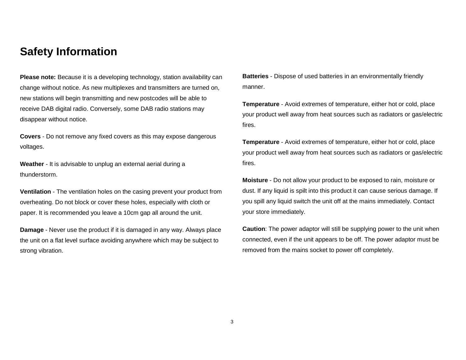## **Safety Information**

**Please note:** Because it is a developing technology, station availability can change without notice. As new multiplexes and transmitters are turned on, new stations will begin transmitting and new postcodes will be able to receive DAB digital radio. Conversely, some DAB radio stations may disappear without notice.

**Covers** - Do not remove any fixed covers as this may expose dangerous voltages.

**Weather** - It is advisable to unplug an external aerial during a thunderstorm.

**Ventilation** - The ventilation holes on the casing prevent your product from overheating. Do not block or cover these holes, especially with cloth or paper. It is recommended you leave a 10cm gap all around the unit.

**Damage** - Never use the product if it is damaged in any way. Always place the unit on a flat level surface avoiding anywhere which may be subject to strong vibration.

**Batteries** - Dispose of used batteries in an environmentally friendly manner.

**Temperature** - Avoid extremes of temperature, either hot or cold, place your product well away from heat sources such as radiators or gas/electric fires.

**Temperature** - Avoid extremes of temperature, either hot or cold, place your product well away from heat sources such as radiators or gas/electric fires.

**Moisture** - Do not allow your product to be exposed to rain, moisture or dust. If any liquid is spilt into this product it can cause serious damage. If you spill any liquid switch the unit off at the mains immediately. Contact your store immediately.

**Caution**: The power adaptor will still be supplying power to the unit when connected, even if the unit appears to be off. The power adaptor must be removed from the mains socket to power off completely.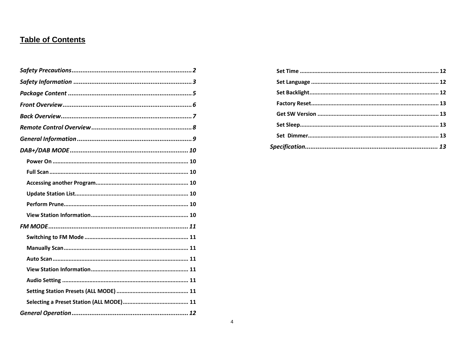## **Table of Contents**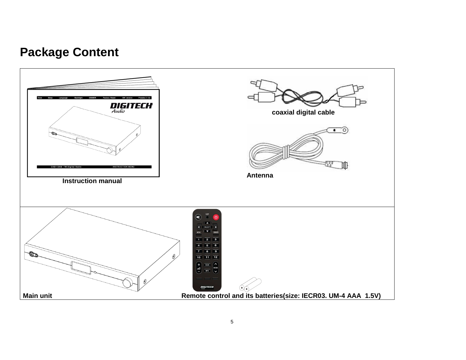# **Package Content**

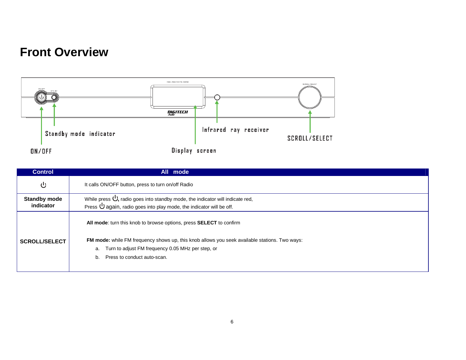## **Front Overview**



| <b>Control</b>                                                                                                                                                                                                  | mode<br>All                                                                                                                                                                                                                                                                 |
|-----------------------------------------------------------------------------------------------------------------------------------------------------------------------------------------------------------------|-----------------------------------------------------------------------------------------------------------------------------------------------------------------------------------------------------------------------------------------------------------------------------|
| رل                                                                                                                                                                                                              | It calls ON/OFF button, press to turn on/off Radio                                                                                                                                                                                                                          |
| While press $\mathbf{U}$ , radio goes into standby mode, the indicator will indicate red,<br><b>Standby mode</b><br>indicator<br>Press $\mathbf 0$ again, radio goes into play mode, the indicator will be off. |                                                                                                                                                                                                                                                                             |
| <b>SCROLL/SELECT</b>                                                                                                                                                                                            | All mode: turn this knob to browse options, press <b>SELECT</b> to confirm<br>FM mode: while FM frequency shows up, this knob allows you seek available stations. Two ways:<br>Turn to adjust FM frequency 0.05 MHz per step, or<br>a.<br>Press to conduct auto-scan.<br>b. |
|                                                                                                                                                                                                                 |                                                                                                                                                                                                                                                                             |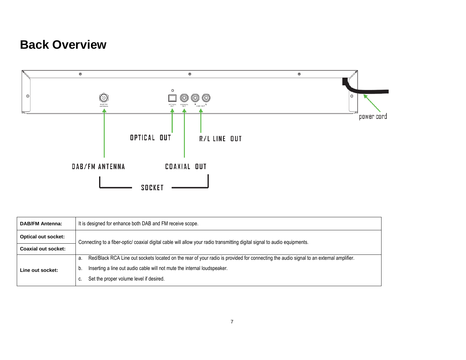## **Back Overview**



| <b>DAB/FM Antenna:</b>     | It is designed for enhance both DAB and FM receive scope.                                                                                    |  |
|----------------------------|----------------------------------------------------------------------------------------------------------------------------------------------|--|
| <b>Optical out socket:</b> | Connecting to a fiber-optic/ coaxial digital cable will allow your radio transmitting digital signal to audio equipments.                    |  |
| Coaxial out socket:        |                                                                                                                                              |  |
|                            | Red/Black RCA Line out sockets located on the rear of your radio is provided for connecting the audio signal to an external amplifier.<br>a. |  |
| Line out socket:           | Inserting a line out audio cable will not mute the internal loudspeaker.<br>b.                                                               |  |
|                            | Set the proper volume level if desired.                                                                                                      |  |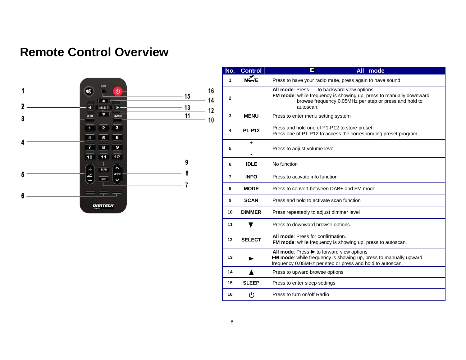## **Remote Control Overview**



| No.          | <b>Control</b> | <b>All</b><br>mode                                                                                                                                                                             |
|--------------|----------------|------------------------------------------------------------------------------------------------------------------------------------------------------------------------------------------------|
| 1            | $M + E$        | Press to have your radio mute, press again to have sound                                                                                                                                       |
| $\mathbf{2}$ |                | All mode: Press<br>to backward view options<br>FM mode: while frequency is showing up, press to manually downward<br>browse frequency 0.05MHz per step or press and hold to<br>autoscan.       |
| 3            | <b>MENU</b>    | Press to enter menu setting system                                                                                                                                                             |
| 4            | P1-P12         | Press and hold one of P1-P12 to store preset<br>Press one of P1-P12 to access the corresponding preset program                                                                                 |
| 5            | ٠              | Press to adjust volume level                                                                                                                                                                   |
| 6            | <b>IDLE</b>    | No function                                                                                                                                                                                    |
| 7            | <b>INFO</b>    | Press to activate info function                                                                                                                                                                |
| 8            | <b>MODE</b>    | Press to convert between DAB+ and FM mode                                                                                                                                                      |
| 9            | <b>SCAN</b>    | Press and hold to activate scan function                                                                                                                                                       |
| 10           | <b>DIMMER</b>  | Press repeatedly to adjust dimmer level                                                                                                                                                        |
| 11           |                | Press to downward browse options                                                                                                                                                               |
| 12           | <b>SELECT</b>  | All mode: Press for confirmation.<br>FM mode: while frequency is showing up, press to autoscan.                                                                                                |
| 13           |                | All mode: Press $\blacktriangleright$ to forward view options<br>FM mode: while frequency is showing up, press to manually upward<br>frequency 0.05MHz per step or press and hold to autoscan. |
| 14           |                | Press to upward browse options                                                                                                                                                                 |
| 15           | <b>SLEEP</b>   | Press to enter sleep settings                                                                                                                                                                  |
| 16           | ഄ              | Press to turn on/off Radio                                                                                                                                                                     |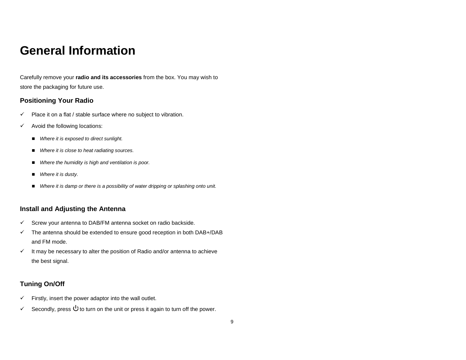## **General Information**

Carefully remove your **radio and its accessories** from the box. You may wish to store the packaging for future use.

#### **Positioning Your Radio**

- $\checkmark$  Place it on a flat / stable surface where no subject to vibration.
- $\checkmark$  Avoid the following locations:
	- Where it is exposed to direct sunlight.
	- Where it is close to heat radiating sources.
	- -Where the humidity is high and ventilation is poor.
	- Where it is dusty.
	- Where it is damp or there is a possibility of water dripping or splashing onto unit.

#### **Install and Adjusting the Antenna**

- $\checkmark$  Screw your antenna to DAB/FM antenna socket on radio backside.
- $\checkmark$  The antenna should be extended to ensure good reception in both DAB+/DAB and FM mode.
- $\checkmark$  It may be necessary to alter the position of Radio and/or antenna to achieve the best signal.

#### **Tuning On/Off**

- $\checkmark$  Firstly, insert the power adaptor into the wall outlet.
- Secondly, press  $\mathcal \bigcup$  to turn on the unit or press it again to turn off the power.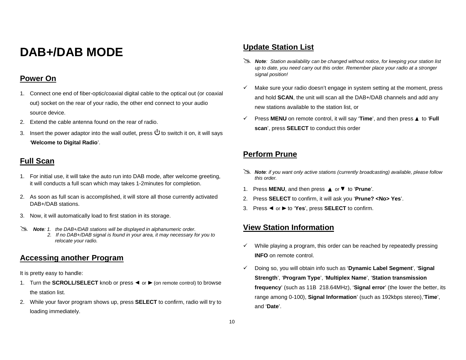## **DAB+/DAB MODE**

### **Power On**

- 1. Connect one end of fiber-optic/coaxial digital cable to the optical out (or coaxial out) socket on the rear of your radio, the other end connect to your audio source device.
- 2. Extend the cable antenna found on the rear of radio.
- 3. Insert the power adaptor into the wall outlet, press  $\Theta$  to switch it on, it will says '**Welcome to Digital Radio**'.

## **Full Scan**

- 1. For initial use, it will take the auto run into DAB mode, after welcome greeting, it will conducts a full scan which may takes 1-2minutes for completion.
- 2. As soon as full scan is accomplished, it will store all those currently activated DAB+/DAB stations.
- 3. Now, it will automatically load to first station in its storage.
- **Note:** 1. the DAB+/DAB stations will be displayed in alphanumeric order.
	- 2. If no DAB+/DAB signal is found in your area, it may necessary for you to relocate your radio.

#### **Accessing another Program**

It is pretty easy to handle:

- 1. Turn the **SCROLL/SELECT** knob or press < or  $\triangleright$  (on remote control) to browse the station list.
- 2. While your favor program shows up, press **SELECT** to confirm, radio will try to loading immediately.

## **Update Station List**

- Note: Station availability can be changed without notice, for keeping your station list **Note**: Station availability can be changed without notice, for keeping your station list up to date, you need carry out this order. Remember place your radio at a stronger signal position!
- $\checkmark$  Make sure your radio doesn't engage in system setting at the moment, press and hold **SCAN**, the unit will scan all the DAB+/DAB channels and add any new stations available to the station list, or
- $\checkmark$  Press **MENU** on remote control, it will say '**Time**', and then press  $\blacktriangle$  to '**Full scan**', press **SELECT** to conduct this order

## **Perform Prune**

- **Note**: if you want only active stations (currently broadcasting) available, please follow this order. this order.
- 1. Press **MENU**, and then press **A** or ▼ to '**Prune**'.
- 2. Press **SELECT** to confirm, it will ask you '**Prune? <No> Yes**'.
- 3. Press ◀ or ► to 'Yes', press **SELECT** to confirm.

#### **View Station Information**

- $\checkmark$  While playing a program, this order can be reached by repeatedly pressing **INFO** on remote control.
- Doing so, you will obtain info such as '**Dynamic Label Segment**', '**Signal Strength**', '**Program Type**', '**Multiplex Name**', '**Station transmission frequency**' (such as 11B 218.64MHz), '**Signal error**' (the lower the better, its range among 0-100), **Signal Information**' (such as 192kbps stereo),'**Time**', and '**Date**'.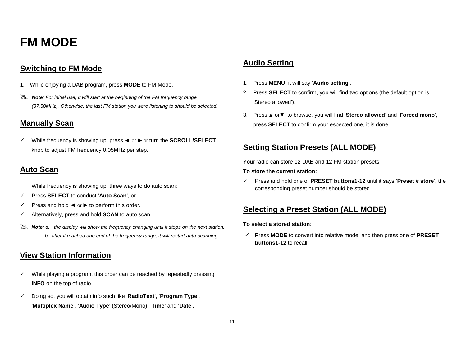## **FM MODE**

### **Switching to FM Mode**

- 1. While enjoying a DAB program, press **MODE** to FM Mode.
- **Note:** For initial use, it will start at the beginning of the FM frequency range<br>(87.50MHz) Otherwise the last FM station you were listening to should be (87.50MHz). Otherwise, the last FM station you were listening to should be selected.

### **Manually Scan**

 $\checkmark$  While frequency is showing up, press  $\blacktriangleleft$  or  $\blacktriangleright$  or turn the **SCROLL/SELECT** knob to adjust FM frequency 0.05MHz per step.

#### **Auto Scan**

While frequency is showing up, three ways to do auto scan:

- Press **SELECT** to conduct '**Auto Scan**', or
- $\checkmark$  Press and hold  $\blacktriangleleft$  or  $\blacktriangleright$  to perform this order.
- $\checkmark$  Alternatively, press and hold **SCAN** to auto scan.
- **Note**: a. the display will show the frequency changing until it stops on the next station.<br>b after it reached one end of the frequency range it will restart auto-scanning b. after it reached one end of the frequency range, it will restart auto-scanning.

## **View Station Information**

- $\checkmark$  While playing a program, this order can be reached by repeatedly pressing **INFO** on the top of radio.
- Doing so, you will obtain info such like '**RadioText**', '**Program Type**', '**Multiplex Name**', '**Audio Type**' (Stereo/Mono), '**Time**' and '**Date**'.

### **Audio Setting**

- 1. Press **MENU**, it will say '**Audio setting**'.
- 2. Press **SELECT** to confirm, you will find two options (the default option is 'Stereo allowed').
- 3. Press **△** or ▼ to browse, you will find 'Stereo allowed' and 'Forced mono', press **SELECT** to confirm your espected one, it is done.

### **Setting Station Presets (ALL MODE)**

Your radio can store 12 DAB and 12 FM station presets.

#### **To store the current station:**

 Press and hold one of **PRESET buttons1-12** until it says '**Preset # store**', the corresponding preset number should be stored.

#### **Selecting a Preset Station (ALL MODE)**

#### **To select a stored station**:

 Press **MODE** to convert into relative mode, and then press one of **PRESET buttons1-12** to recall.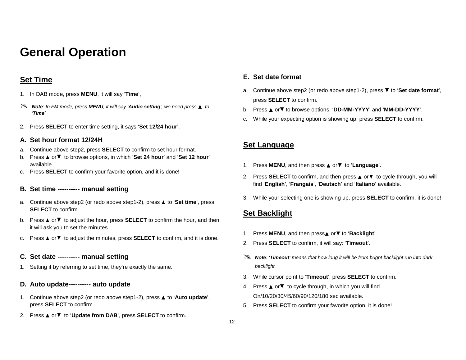## **General Operation**

### **Set Time**

- 1. In DAB mode, press **MENU**, it will say '**Time**',
- **Note:** In FM mode, press **MENU**, it will say '**Audio setting**', we need press  $\triangle$  to 'Time'. '**Time**'.
- 2. Press **SELECT** to enter time setting, it says '**Set 12/24 hour**'.

#### **A. Set hour format 12/24H**

- a. Continue above step2, press **SELECT** to confirm to set hour format.
- b. Press **A** or ▼ to browse options, in which 'Set 24 hour' and 'Set 12 hour' available.
- c. Press **SELECT** to confirm your favorite option, and it is done!

#### **B. Set time ---------- manual setting**

- a. Continue above step2 (or redo above step1-2), press **△** to '**Set time**', press **SELECT** to confirm.
- b. Press  $\triangle$  or  $\nabla$  to adjust the hour, press **SELECT** to confirm the hour, and then it will ask you to set the minutes.
- c. Press  $\triangle$  or  $\nabla$  to adjust the minutes, press **SELECT** to confirm, and it is done.

#### **C. Set date ---------- manual setting**

1. Setting it by referring to set time, they're exactly the same.

#### **D. Auto update---------- auto update**

- 1. Continue above step2 (or redo above step1-2), press **▲** to '**Auto update**', press **SELECT** to confirm.
- 2. Press **▲** or ▼ to 'Update from DAB', press SELECT to confirm.

#### **E. Set date format**

- a. Continue above step2 (or redo above step1-2), press ▼ to 'Set date format', press **SELECT** to confirm.
- b. Press **▲** or ▼ to browse options: 'DD-MM-YYYY' and 'MM-DD-YYYY'.
- c. While your expecting option is showing up, press **SELECT** to confirm.

### **Set Language**

- 1. Press **MENU**, and then press **A** or  $\blacktriangledown$  to '**Language'**.
- 2. Press SELECT to confirm, and then press **△** or ▼ to cycle through, you will find '**English**', '**Frangais**', '**Deutsch**' and '**Italiano**' available.
- 3. While your selecting one is showing up, press **SELECT** to confirm, it is done!

### **Set Backlight**

- 1. Press **MENU**, and then press▲ or ▼ to '**Backlight'.**
- 2. Press **SELECT** to confirm, it will say: '**Timeout**'.
- **Note: 'Timeout'** means that how long it will be from bright backlight run into dark<br>backlight backlight.
- 3. While cursor point to '**Timeout**', press **SELECT** to confirm.
- 4. Press  $\triangle$  or  $\nabla$  to cycle through, in which you will find On/10/20/30/45/60/90/120/180 sec available.
- 5. Press **SELECT** to confirm your favorite option, it is done!